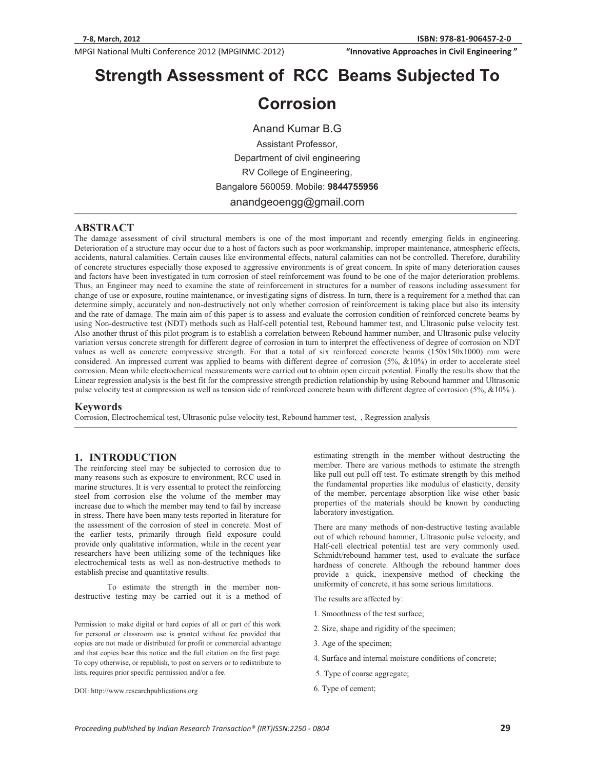**We are the Civil Engineering**<br> **812-11 Civil Engineering "InnovativeApproachesinCivilEngineering"**

# **Strength Assessment of RCC Beams Subjected To**

# **Corrosion**

Anand Kumar B.G Assistant Professor, Department of civil engineering RV College of Engineering, Bangalore 560059. Mobile: **9844755956**  anandgeoengg@gmail.com

#### **ABSTRACT**

The damage assessment of civil structural members is one of the most important and recently emerging fields in engineering. Deterioration of a structure may occur due to a host of factors such as poor workmanship, improper maintenance, atmospheric effects, accidents, natural calamities. Certain causes like environmental effects, natural calamities can not be controlled. Therefore, durability of concrete structures especially those exposed to aggressive environments is of great concern. In spite of many deterioration causes and factors have been investigated in turn corrosion of steel reinforcement was found to be one of the major deterioration problems. Thus, an Engineer may need to examine the state of reinforcement in structures for a number of reasons including assessment for change of use or exposure, routine maintenance, or investigating signs of distress. In turn, there is a requirement for a method that can determine simply, accurately and non-destructively not only whether corrosion of reinforcement is taking place but also its intensity and the rate of damage. The main aim of this paper is to assess and evaluate the corrosion condition of reinforced concrete beams by using Non-destructive test (NDT) methods such as Half-cell potential test, Rebound hammer test, and Ultrasonic pulse velocity test. Also another thrust of this pilot program is to establish a correlation between Rebound hammer number, and Ultrasonic pulse velocity variation versus concrete strength for different degree of corrosion in turn to interpret the effectiveness of degree of corrosion on NDT values as well as concrete compressive strength. For that a total of six reinforced concrete beams (150x150x1000) mm were considered. An impressed current was applied to beams with different degree of corrosion  $(5\%, \&10\%)$  in order to accelerate steel corrosion. Mean while electrochemical measurements were carried out to obtain open circuit potential. Finally the results show that the Linear regression analysis is the best fit for the compressive strength prediction relationship by using Rebound hammer and Ultrasonic pulse velocity test at compression as well as tension side of reinforced concrete beam with different degree of corrosion (5%, &10% ).

#### **Keywords**

Corrosion, Electrochemical test, Ultrasonic pulse velocity test, Rebound hammer test, , Regression analysis

#### **1. INTRODUCTION**

The reinforcing steel may be subjected to corrosion due to many reasons such as exposure to environment, RCC used in marine structures. It is very essential to protect the reinforcing steel from corrosion else the volume of the member may increase due to which the member may tend to fail by increase in stress. There have been many tests reported in literature for the assessment of the corrosion of steel in concrete. Most of the earlier tests, primarily through field exposure could provide only qualitative information, while in the recent year researchers have been utilizing some of the techniques like electrochemical tests as well as non-destructive methods to establish precise and quantitative results.

 To estimate the strength in the member nondestructive testing may be carried out it is a method of

Permission to make digital or hard copies of all or part of this work for personal or classroom use is granted without fee provided that copies are not made or distributed for profit or commercial advantage and that copies bear this notice and the full citation on the first page. To copy otherwise, or republish, to post on servers or to redistribute to lists, requires prior specific permission and/or a fee.

DOI: http://www.researchpublications.org

estimating strength in the member without destructing the member. There are various methods to estimate the strength like pull out pull off test. To estimate strength by this method the fundamental properties like modulus of elasticity, density of the member, percentage absorption like wise other basic properties of the materials should be known by conducting laboratory investigation.

There are many methods of non-destructive testing available out of which rebound hammer, Ultrasonic pulse velocity, and Half-cell electrical potential test are very commonly used. Schmidt/rebound hammer test, used to evaluate the surface hardness of concrete. Although the rebound hammer does provide a quick, inexpensive method of checking the uniformity of concrete, it has some serious limitations.

The results are affected by:

- 1. Smoothness of the test surface;
- 2. Size, shape and rigidity of the specimen;
- 3. Age of the specimen;
- 4. Surface and internal moisture conditions of concrete;
- 5. Type of coarse aggregate;
- 6. Type of cement;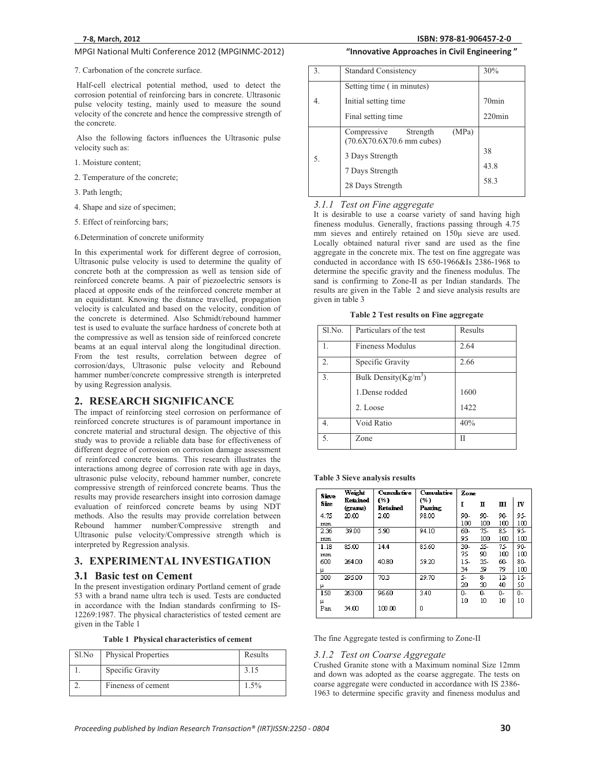#### 7. Carbonation of the concrete surface.

 Half-cell electrical potential method, used to detect the corrosion potential of reinforcing bars in concrete. Ultrasonic pulse velocity testing, mainly used to measure the sound velocity of the concrete and hence the compressive strength of the concrete.

 Also the following factors influences the Ultrasonic pulse velocity such as:

- 1. Moisture content;
- 2. Temperature of the concrete;
- 3. Path length;
- 4. Shape and size of specimen;
- 5. Effect of reinforcing bars;
- 6.Determination of concrete uniformity

In this experimental work for different degree of corrosion, Ultrasonic pulse velocity is used to determine the quality of concrete both at the compression as well as tension side of reinforced concrete beams. A pair of piezoelectric sensors is placed at opposite ends of the reinforced concrete member at an equidistant. Knowing the distance travelled, propagation velocity is calculated and based on the velocity, condition of the concrete is determined. Also Schmidt/rebound hammer test is used to evaluate the surface hardness of concrete both at the compressive as well as tension side of reinforced concrete beams at an equal interval along the longitudinal direction. From the test results, correlation between degree of corrosion/days, Ultrasonic pulse velocity and Rebound hammer number/concrete compressive strength is interpreted by using Regression analysis.

#### **2. RESEARCH SIGNIFICANCE**

The impact of reinforcing steel corrosion on performance of reinforced concrete structures is of paramount importance in concrete material and structural design. The objective of this study was to provide a reliable data base for effectiveness of different degree of corrosion on corrosion damage assessment of reinforced concrete beams. This research illustrates the interactions among degree of corrosion rate with age in days, ultrasonic pulse velocity, rebound hammer number, concrete compressive strength of reinforced concrete beams. Thus the results may provide researchers insight into corrosion damage evaluation of reinforced concrete beams by using NDT methods. Also the results may provide correlation between Rebound hammer number/Compressive strength and Ultrasonic pulse velocity/Compressive strength which is interpreted by Regression analysis.

#### **3. EXPERIMENTAL INVESTIGATION**

#### **3.1 Basic test on Cement**

In the present investigation ordinary Portland cement of grade 53 with a brand name ultra tech is used. Tests are conducted in accordance with the Indian standards confirming to IS-12269:1987. The physical characteristics of tested cement are given in the Table 1

**Table 1 Physical characteristics of cement** 

| Sl.No | <b>Physical Properties</b> | Results |
|-------|----------------------------|---------|
|       | Specific Gravity           | 3.15    |
|       | Fineness of cement         | $1.5\%$ |

## **"InnovativeApproachesinCivilEngineering"**

| 3. | <b>Standard Consistency</b>                                     | 30%       |
|----|-----------------------------------------------------------------|-----------|
|    | Setting time (in minutes)                                       |           |
| 4. | Initial setting time                                            | $70$ min  |
|    | Final setting time                                              | $220$ min |
|    | (MPa)<br>Strength<br>Compressive<br>$(70.6X70.6X70.6$ mm cubes) |           |
|    |                                                                 | 38        |
| 5. | 3 Days Strength                                                 |           |
|    | 7 Days Strength                                                 | 43.8      |
|    | 28 Days Strength                                                | 58.3      |

*3.1.1 Test on Fine aggregate*  It is desirable to use a coarse variety of sand having high fineness modulus. Generally, fractions passing through 4.75 mm sieves and entirely retained on 150μ sieve are used. Locally obtained natural river sand are used as the fine aggregate in the concrete mix. The test on fine aggregate was conducted in accordance with IS 650-1966&Is 2386-1968 to determine the specific gravity and the fineness modulus. The sand is confirming to Zone-II as per Indian standards. The results are given in the Table 2 and sieve analysis results are given in table 3

**Table 2 Test results on Fine aggregate** 

| Sl.No. | Particulars of the test | Results |
|--------|-------------------------|---------|
|        |                         |         |
| 1.     | <b>Fineness Modulus</b> | 2.64    |
| 2.     | Specific Gravity        | 2.66    |
| 3.     | Bulk Density $(Kg/m^3)$ |         |
|        | 1. Dense rodded         | 1600    |
|        | 2. Loose                | 1422    |
| 4.     | Void Ratio              | 40%     |
| 5.     | Zone                    | Н       |

#### **Table 3 Sieve analysis results**

| Sieve | Weight              | <b>Cumulative</b> | Cumulative     | Zone  |     |       |     |
|-------|---------------------|-------------------|----------------|-------|-----|-------|-----|
| Size  | Retained<br>(grams) | (%)<br>Retained   | (%)<br>Passing |       | п   | ш     | IV  |
| 4.75  | 20.00               | 2.00              | 98.00          | 90-   | 90- | 90-   | 95. |
| mm    |                     |                   |                | 100   | 100 | 100   | 100 |
| 2.36  | 39.00               | 5.90              | 94.10          | 60-   | 75- | 85    | 95. |
| mm    |                     |                   |                | 95    | 100 | 100   | 100 |
| 1.18  | 85.00               | 14.4              | 85.60          | $30-$ | 55- | 75    | 90- |
| mm    |                     |                   |                | 75    | 90  | 100   | 100 |
| 600   | 264.00              | 40.80             | 59.20          | 15-   | 35- | 60-   | 80- |
| μ     |                     |                   |                | 34    | 59  | 79    | 100 |
| 300   | 295.00              | 70.3              | 29.70          | 5-    | 8-  | $12-$ | 15  |
| μ     |                     |                   |                | 20    | 30  | 40    | 50  |
| 150   | 263.00              | 96.60             | 3.40           | ۵-    | o   | 0-    | 0-  |
| μ     |                     |                   |                | 10    | 10  | 10    | 10  |
| Pan   | 34.00               | 100.00            | Ω              |       |     |       |     |

The fine Aggregate tested is confirming to Zone-II

*3.1.2 Test on Coarse Aggregate*  Crushed Granite stone with a Maximum nominal Size 12mm and down was adopted as the coarse aggregate. The tests on coarse aggregate were conducted in accordance with IS 2386- 1963 to determine specific gravity and fineness modulus and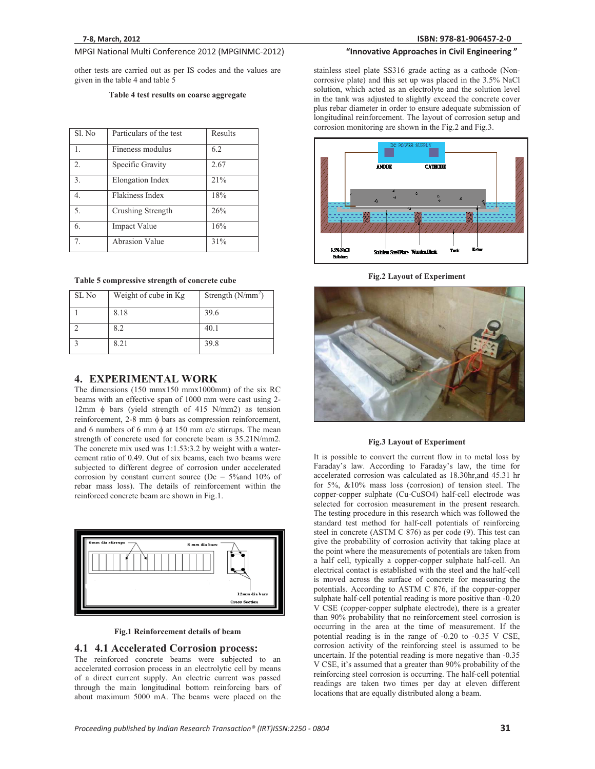other tests are carried out as per IS codes and the values are given in the table 4 and table 5

#### **Table 4 test results on coarse aggregate**

| Sl. No           | Particulars of the test | Results |
|------------------|-------------------------|---------|
| $\mathbf{1}$ .   | Fineness modulus        | 6.2     |
| $\overline{2}$ . | Specific Gravity        | 2.67    |
| 3.               | Elongation Index        | 21%     |
| 4.               | Flakiness Index         | 18%     |
| 5.               | Crushing Strength       | 26%     |
| 6.               | Impact Value            | 16%     |
| 7.               | Abrasion Value          | 31%     |

#### **Table 5 compressive strength of concrete cube**

| SL No | Weight of cube in Kg | Strength $(N/mm2)$ |
|-------|----------------------|--------------------|
|       | 8.18                 | 39.6               |
|       | 8.2                  | 40.1               |
|       | 8.21                 | 39.8               |

#### **4. EXPERIMENTAL WORK**

The dimensions (150 mmx150 mmx1000mm) of the six RC beams with an effective span of 1000 mm were cast using 2- 12mm  $\phi$  bars (yield strength of 415 N/mm2) as tension  $reinforcement$ ,  $2-8$  mm  $\phi$  bars as compression reinforcement, and 6 numbers of 6 mm  $\phi$  at 150 mm c/c stirrups. The mean strength of concrete used for concrete beam is 35.21N/mm2. The concrete mix used was 1:1.53:3.2 by weight with a watercement ratio of 0.49. Out of six beams, each two beams were subjected to different degree of corrosion under accelerated corrosion by constant current source ( $Dc = 5\%$  and 10% of rebar mass loss). The details of reinforcement within the reinforced concrete beam are shown in Fig.1.





#### **4.1 4.1 Accelerated Corrosion process:**

The reinforced concrete beams were subjected to an accelerated corrosion process in an electrolytic cell by means of a direct current supply. An electric current was passed through the main longitudinal bottom reinforcing bars of about maximum 5000 mA. The beams were placed on the

stainless steel plate SS316 grade acting as a cathode (Noncorrosive plate) and this set up was placed in the 3.5% NaCl solution, which acted as an electrolyte and the solution level in the tank was adjusted to slightly exceed the concrete cover plus rebar diameter in order to ensure adequate submission of longitudinal reinforcement. The layout of corrosion setup and corrosion monitoring are shown in the Fig.2 and Fig.3.

**"InnovativeApproachesinCivilEngineering"**



**Fig.2 Layout of Experiment** 



#### **Fig.3 Layout of Experiment**

It is possible to convert the current flow in to metal loss by Faraday's law. According to Faraday's law, the time for accelerated corrosion was calculated as 18.30hr,and 45.31 hr for 5%, &10% mass loss (corrosion) of tension steel. The copper-copper sulphate (Cu-CuSO4) half-cell electrode was selected for corrosion measurement in the present research. The testing procedure in this research which was followed the standard test method for half-cell potentials of reinforcing steel in concrete (ASTM C 876) as per code (9). This test can give the probability of corrosion activity that taking place at the point where the measurements of potentials are taken from a half cell, typically a copper-copper sulphate half-cell. An electrical contact is established with the steel and the half-cell is moved across the surface of concrete for measuring the potentials. According to ASTM C 876, if the copper-copper sulphate half-cell potential reading is more positive than -0.20 V CSE (copper-copper sulphate electrode), there is a greater than 90% probability that no reinforcement steel corrosion is occurring in the area at the time of measurement. If the potential reading is in the range of -0.20 to -0.35 V CSE, corrosion activity of the reinforcing steel is assumed to be uncertain. If the potential reading is more negative than -0.35 V CSE, it's assumed that a greater than 90% probability of the reinforcing steel corrosion is occurring. The half-cell potential readings are taken two times per day at eleven different locations that are equally distributed along a beam.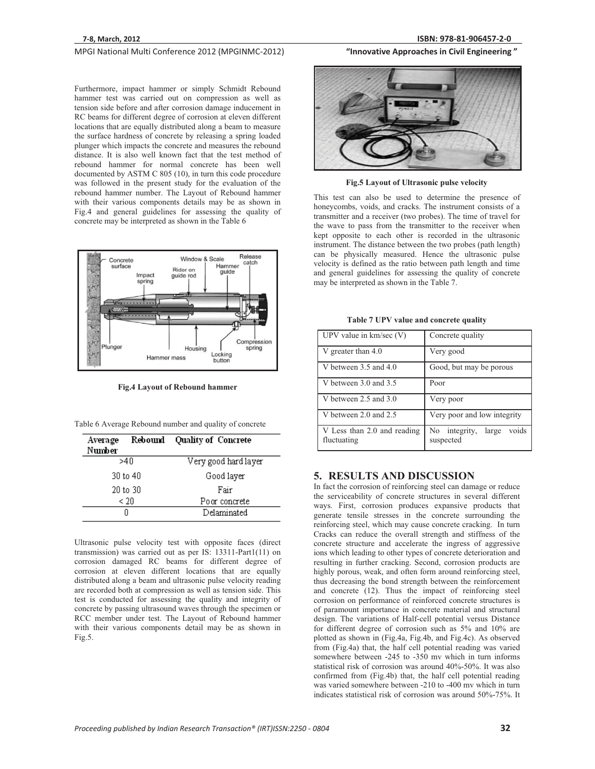Furthermore, impact hammer or simply Schmidt Rebound hammer test was carried out on compression as well as tension side before and after corrosion damage inducement in RC beams for different degree of corrosion at eleven different locations that are equally distributed along a beam to measure the surface hardness of concrete by releasing a spring loaded plunger which impacts the concrete and measures the rebound distance. It is also well known fact that the test method of rebound hammer for normal concrete has been well documented by ASTM C 805 (10), in turn this code procedure was followed in the present study for the evaluation of the rebound hammer number. The Layout of Rebound hammer with their various components details may be as shown in Fig.4 and general guidelines for assessing the quality of concrete may be interpreted as shown in the Table 6



**Fig.4 Layout of Rebound hammer** 

| Table 6 Average Rebound number and quality of concrete |  |  |  |
|--------------------------------------------------------|--|--|--|
|                                                        |  |  |  |

| Average<br>Number | Rebound  | <b>Quality of Concrete</b> |
|-------------------|----------|----------------------------|
|                   | 54 N     | Very good hard layer       |
|                   | 30 to 40 | Good layer                 |
| 20 to 30          |          | Fair                       |
| < 20              |          | Poor concrete              |
|                   |          | Delaminated                |

Ultrasonic pulse velocity test with opposite faces (direct transmission) was carried out as per IS: 13311-Part1(11) on corrosion damaged RC beams for different degree of corrosion at eleven different locations that are equally distributed along a beam and ultrasonic pulse velocity reading are recorded both at compression as well as tension side. This test is conducted for assessing the quality and integrity of concrete by passing ultrasound waves through the specimen or RCC member under test. The Layout of Rebound hammer with their various components detail may be as shown in Fig.5.

## **81-906457-2-0**



**Fig.5 Layout of Ultrasonic pulse velocity** 

This test can also be used to determine the presence of honeycombs, voids, and cracks. The instrument consists of a transmitter and a receiver (two probes). The time of travel for the wave to pass from the transmitter to the receiver when kept opposite to each other is recorded in the ultrasonic instrument. The distance between the two probes (path length) can be physically measured. Hence the ultrasonic pulse velocity is defined as the ratio between path length and time and general guidelines for assessing the quality of concrete may be interpreted as shown in the Table 7.

| UPV value in $km/sec (V)$                  | Concrete quality                             |
|--------------------------------------------|----------------------------------------------|
| V greater than 4.0                         | Very good                                    |
| V between 3.5 and 4.0                      | Good, but may be porous                      |
| V between 3.0 and 3.5                      | Poor                                         |
| V between $2.5$ and $3.0$                  | Very poor                                    |
| V between 2.0 and 2.5                      | Very poor and low integrity                  |
| V Less than 2.0 and reading<br>fluctuating | voids<br>No integrity,<br>large<br>suspected |

**Table 7 UPV value and concrete quality** 

#### **5. RESULTS AND DISCUSSION**

In fact the corrosion of reinforcing steel can damage or reduce the serviceability of concrete structures in several different ways. First, corrosion produces expansive products that generate tensile stresses in the concrete surrounding the reinforcing steel, which may cause concrete cracking. In turn Cracks can reduce the overall strength and stiffness of the concrete structure and accelerate the ingress of aggressive ions which leading to other types of concrete deterioration and resulting in further cracking. Second, corrosion products are highly porous, weak, and often form around reinforcing steel, thus decreasing the bond strength between the reinforcement and concrete (12). Thus the impact of reinforcing steel corrosion on performance of reinforced concrete structures is of paramount importance in concrete material and structural design. The variations of Half-cell potential versus Distance for different degree of corrosion such as 5% and 10% are plotted as shown in (Fig.4a, Fig.4b, and Fig.4c). As observed from (Fig.4a) that, the half cell potential reading was varied somewhere between -245 to -350 mv which in turn informs statistical risk of corrosion was around 40%-50%. It was also confirmed from (Fig.4b) that, the half cell potential reading was varied somewhere between -210 to -400 mv which in turn indicates statistical risk of corrosion was around 50%-75%. It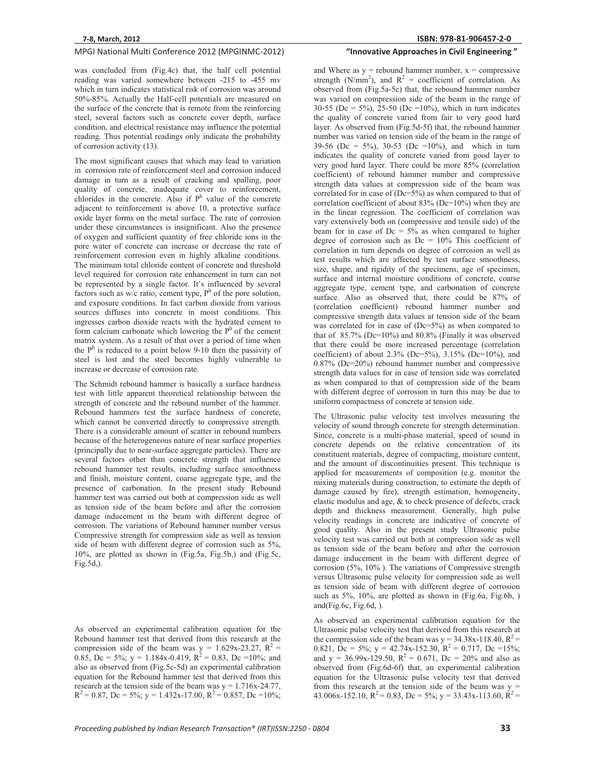was concluded from (Fig.4c) that, the half cell potential reading was varied somewhere between -215 to -455 mv which in turn indicates statistical risk of corrosion was around 50%-85%. Actually the Half-cell potentials are measured on the surface of the concrete that is remote from the reinforcing steel, several factors such as concrete cover depth, surface condition, and electrical resistance may influence the potential reading. Thus potential readings only indicate the probability of corrosion activity (13).

The most significant causes that which may lead to variation in corrosion rate of reinforcement steel and corrosion induced damage in turn as a result of cracking and spalling, poor quality of concrete, inadequate cover to reinforcement, chlorides in the concrete. Also if  $P<sup>h</sup>$  value of the concrete adjacent to reinforcement is above 10, a protective surface oxide layer forms on the metal surface. The rate of corrosion under these circumstances is insignificant. Also the presence of oxygen and sufficient quantity of free chloride ions in the pore water of concrete can increase or decrease the rate of reinforcement corrosion even in highly alkaline conditions. The minimum total chloride content of concrete and threshold level required for corrosion rate enhancement in turn can not be represented by a single factor. It's influenced by several factors such as w/c ratio, cement type,  $P<sup>h</sup>$  of the pore solution, and exposure conditions. In fact carbon dioxide from various sources diffuses into concrete in moist conditions. This ingresses carbon dioxide reacts with the hydrated cement to form calcium carbonate which lowering the  $P<sup>h</sup>$  of the cement matrix system. As a result of that over a period of time when the  $P<sup>h</sup>$  is reduced to a point below 9-10 then the passivity of steel is lost and the steel becomes highly vulnerable to increase or decrease of corrosion rate.

The Schmidt rebound hammer is basically a surface hardness test with little apparent theoretical relationship between the strength of concrete and the rebound number of the hammer. Rebound hammers test the surface hardness of concrete, which cannot be converted directly to compressive strength. There is a considerable amount of scatter in rebound numbers because of the heterogeneous nature of near surface properties (principally due to near-surface aggregate particles). There are several factors other than concrete strength that influence rebound hammer test results, including surface smoothness and finish, moisture content, coarse aggregate type, and the presence of carbonation. In the present study Rebound hammer test was carried out both at compression side as well as tension side of the beam before and after the corrosion damage inducement in the beam with different degree of corrosion. The variations of Rebound hammer number versus Compressive strength for compression side as well as tension side of beam with different degree of corrosion such as 5%, 10%, are plotted as shown in (Fig.5a, Fig.5b,) and (Fig.5c, Fig.5d,).

As observed an experimental calibration equation for the Rebound hammer test that derived from this research at the compression side of the beam was  $y = 1.629x-23.27$ ,  $R^2 =$ 0.85, Dc = 5%;  $y = 1.184x-0.419$ ,  $R^2 = 0.83$ , Dc = 10%; and also as observed from (Fig.5c-5d) an experimental calibration equation for the Rebound hammer test that derived from this research at the tension side of the beam was  $y = 1.716x-24.77$ ,  $R^{2} = 0.87$ , Dc = 5%; y = 1.432x-17.00,  $R^{2} = 0.857$ , Dc = 10%;

### **81-906457-2-0 "InnovativeApproachesinCivilEngineering"**

and Where as  $y =$  rebound hammer number,  $x =$  compressive strength (N/mm<sup>2</sup>), and  $R^2$  = coefficient of correlation. As observed from (Fig.5a-5c) that, the rebound hammer number was varied on compression side of the beam in the range of 30-55 (Dc = 5%), 25-50 (Dc = 10%), which in turn indicates the quality of concrete varied from fair to very good hard layer. As observed from (Fig.5d-5f) that, the rebound hammer number was varied on tension side of the beam in the range of 39-56 (Dc = 5%), 30-53 (Dc = 10%), and which in turn indicates the quality of concrete varied from good layer to very good hard layer. There could be more 85% (correlation coefficient) of rebound hammer number and compressive strength data values at compression side of the beam was correlated for in case of  $(De=5\%)$  as when compared to that of correlation coefficient of about  $83\%$  (Dc=10%) when they are in the linear regression. The coefficient of correlation was vary extensively both on (compressive and tensile side) of the beam for in case of  $Dc = 5\%$  as when compared to higher degree of corrosion such as  $Dc = 10\%$  This coefficient of correlation in turn depends on degree of corrosion as well as test results which are affected by test surface smoothness, size, shape, and rigidity of the specimens, age of specimen, surface and internal moisture conditions of concrete, coarse aggregate type, cement type, and carbonation of concrete surface. Also as observed that, there could be 87% of (correlation coefficient) rebound hammer number and compressive strength data values at tension side of the beam was correlated for in case of (Dc=5%) as when compared to that of  $85.7\%$  (Dc=10%) and  $80.8\%$  (Finally it was observed that there could be more increased percentage (correlation coefficient) of about 2.3% (Dc=5%), 3.15% (Dc=10%), and 0.87% (Dc=20%) rebound hammer number and compressive strength data values for in case of tension side was correlated as when compared to that of compression side of the beam with different degree of corrosion in turn this may be due to uniform compactness of concrete at tension side.

The Ultrasonic pulse velocity test involves measuring the velocity of sound through concrete for strength determination. Since, concrete is a multi-phase material, speed of sound in concrete depends on the relative concentration of its constituent materials, degree of compacting, moisture content, and the amount of discontinuities present. This technique is applied for measurements of composition (e.g. monitor the mixing materials during construction, to estimate the depth of damage caused by fire), strength estimation, homogeneity, elastic modulus and age, & to check presence of defects, crack depth and thickness measurement. Generally, high pulse velocity readings in concrete are indicative of concrete of good quality. Also in the present study Ultrasonic pulse velocity test was carried out both at compression side as well as tension side of the beam before and after the corrosion damage inducement in the beam with different degree of corrosion (5%, 10% ). The variations of Compressive strength versus Ultrasonic pulse velocity for compression side as well as tension side of beam with different degree of corrosion such as 5%, 10%, are plotted as shown in (Fig.6a, Fig.6b, ) and(Fig.6c, Fig.6d, ).

As observed an experimental calibration equation for the Ultrasonic pulse velocity test that derived from this research at the compression side of the beam was  $y = 34.38x-118.40$ ,  $R^2 =$ 0.821, Dc = 5%;  $y = 42.74x-152.30$ ,  $R^2 = 0.717$ , Dc = 15%; and y = 36.99x-129.50,  $R^2$  = 0.671, Dc = 20% and also as observed from (Fig.6d-6f) that, an experimental calibration equation for the Ultrasonic pulse velocity test that derived from this research at the tension side of the beam was  $y =$ 43.006x-152.10,  $R^2 = 0.83$ , Dc = 5%; y = 33.43x-113.60,  $R^2 =$